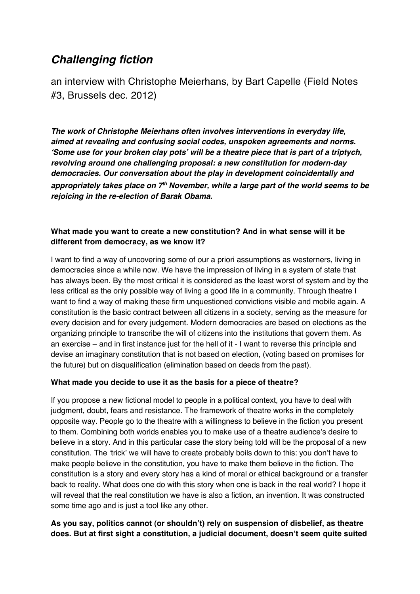# *Challenging fiction*

an interview with Christophe Meierhans, by Bart Capelle (Field Notes #3, Brussels dec. 2012)

*The work of Christophe Meierhans often involves interventions in everyday life, aimed at revealing and confusing social codes, unspoken agreements and norms.*  **ʻ***Some use for your broken clay pots***'** *will be a theatre piece that is part of a triptych, revolving around one challenging proposal: a new constitution for modern-day democracies. Our conversation about the play in development coincidentally and*  appropriately takes place on 7<sup>th</sup> November, while a large part of the world seems to be *rejoicing in the re-election of Barak Obama.* 

# **What made you want to create a new constitution? And in what sense will it be different from democracy, as we know it?**

I want to find a way of uncovering some of our a priori assumptions as westerners, living in democracies since a while now. We have the impression of living in a system of state that has always been. By the most critical it is considered as the least worst of system and by the less critical as the only possible way of living a good life in a community. Through theatre I want to find a way of making these firm unquestioned convictions visible and mobile again. A constitution is the basic contract between all citizens in a society, serving as the measure for every decision and for every judgement. Modern democracies are based on elections as the organizing principle to transcribe the will of citizens into the institutions that govern them. As an exercise – and in first instance just for the hell of it - I want to reverse this principle and devise an imaginary constitution that is not based on election, (voting based on promises for the future) but on disqualification (elimination based on deeds from the past).

#### **What made you decide to use it as the basis for a piece of theatre?**

If you propose a new fictional model to people in a political context, you have to deal with judgment, doubt, fears and resistance. The framework of theatre works in the completely opposite way. People go to the theatre with a willingness to believe in the fiction you present to them. Combining both worlds enables you to make use of a theatre audience's desire to believe in a story. And in this particular case the story being told will be the proposal of a new constitution. The ʻtrick' we will have to create probably boils down to this: you don't have to make people believe in the constitution, you have to make them believe in the fiction. The constitution is a story and every story has a kind of moral or ethical background or a transfer back to reality. What does one do with this story when one is back in the real world? I hope it will reveal that the real constitution we have is also a fiction, an invention. It was constructed some time ago and is just a tool like any other.

# **As you say, politics cannot (or shouldn't) rely on suspension of disbelief, as theatre does. But at first sight a constitution, a judicial document, doesn't seem quite suited**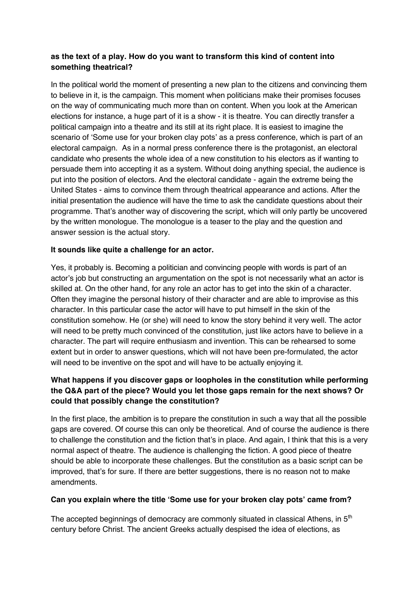## **as the text of a play. How do you want to transform this kind of content into something theatrical?**

In the political world the moment of presenting a new plan to the citizens and convincing them to believe in it, is the campaign. This moment when politicians make their promises focuses on the way of communicating much more than on content. When you look at the American elections for instance, a huge part of it is a show - it is theatre. You can directly transfer a political campaign into a theatre and its still at its right place. It is easiest to imagine the scenario of ʻSome use for your broken clay pots' as a press conference, which is part of an electoral campaign. As in a normal press conference there is the protagonist, an electoral candidate who presents the whole idea of a new constitution to his electors as if wanting to persuade them into accepting it as a system. Without doing anything special, the audience is put into the position of electors. And the electoral candidate - again the extreme being the United States - aims to convince them through theatrical appearance and actions. After the initial presentation the audience will have the time to ask the candidate questions about their programme. That's another way of discovering the script, which will only partly be uncovered by the written monologue. The monologue is a teaser to the play and the question and answer session is the actual story.

#### **It sounds like quite a challenge for an actor.**

Yes, it probably is. Becoming a politician and convincing people with words is part of an actor's job but constructing an argumentation on the spot is not necessarily what an actor is skilled at. On the other hand, for any role an actor has to get into the skin of a character. Often they imagine the personal history of their character and are able to improvise as this character. In this particular case the actor will have to put himself in the skin of the constitution somehow. He (or she) will need to know the story behind it very well. The actor will need to be pretty much convinced of the constitution, just like actors have to believe in a character. The part will require enthusiasm and invention. This can be rehearsed to some extent but in order to answer questions, which will not have been pre-formulated, the actor will need to be inventive on the spot and will have to be actually enjoying it.

# **What happens if you discover gaps or loopholes in the constitution while performing the Q&A part of the piece? Would you let those gaps remain for the next shows? Or could that possibly change the constitution?**

In the first place, the ambition is to prepare the constitution in such a way that all the possible gaps are covered. Of course this can only be theoretical. And of course the audience is there to challenge the constitution and the fiction that's in place. And again, I think that this is a very normal aspect of theatre. The audience is challenging the fiction. A good piece of theatre should be able to incorporate these challenges. But the constitution as a basic script can be improved, that's for sure. If there are better suggestions, there is no reason not to make amendments.

#### **Can you explain where the title ʻSome use for your broken clay pots' came from?**

The accepted beginnings of democracy are commonly situated in classical Athens, in  $5<sup>th</sup>$ century before Christ. The ancient Greeks actually despised the idea of elections, as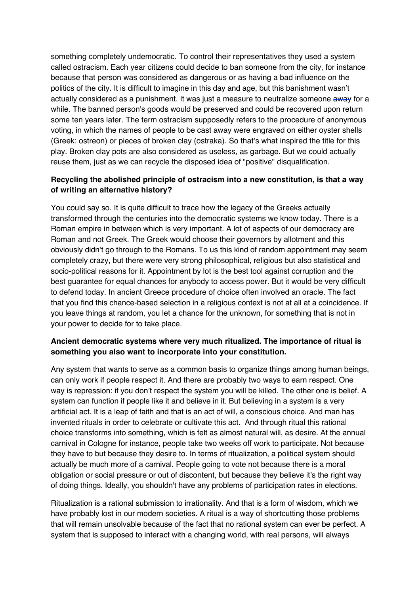something completely undemocratic. To control their representatives they used a system called ostracism. Each year citizens could decide to ban someone from the city, for instance because that person was considered as dangerous or as having a bad influence on the politics of the city. It is difficult to imagine in this day and age, but this banishment wasn't actually considered as a punishment. It was just a measure to neutralize someone away for a while. The banned person's goods would be preserved and could be recovered upon return some ten years later. The term ostracism supposedly refers to the procedure of anonymous voting, in which the names of people to be cast away were engraved on either oyster shells (Greek: ostreon) or pieces of broken clay (ostraka). So that's what inspired the title for this play. Broken clay pots are also considered as useless, as garbage. But we could actually reuse them, just as we can recycle the disposed idea of "positive" disqualification.

## **Recycling the abolished principle of ostracism into a new constitution, is that a way of writing an alternative history?**

You could say so. It is quite difficult to trace how the legacy of the Greeks actually transformed through the centuries into the democratic systems we know today. There is a Roman empire in between which is very important. A lot of aspects of our democracy are Roman and not Greek. The Greek would choose their governors by allotment and this obviously didn't go through to the Romans. To us this kind of random appointment may seem completely crazy, but there were very strong philosophical, religious but also statistical and socio-political reasons for it. Appointment by lot is the best tool against corruption and the best guarantee for equal chances for anybody to access power. But it would be very difficult to defend today. In ancient Greece procedure of choice often involved an oracle. The fact that you find this chance-based selection in a religious context is not at all at a coincidence. If you leave things at random, you let a chance for the unknown, for something that is not in your power to decide for to take place.

#### **Ancient democratic systems where very much ritualized. The importance of ritual is something you also want to incorporate into your constitution.**

Any system that wants to serve as a common basis to organize things among human beings, can only work if people respect it. And there are probably two ways to earn respect. One way is repression: if you don't respect the system you will be killed. The other one is belief. A system can function if people like it and believe in it. But believing in a system is a very artificial act. It is a leap of faith and that is an act of will, a conscious choice. And man has invented rituals in order to celebrate or cultivate this act. And through ritual this rational choice transforms into something, which is felt as almost natural will, as desire. At the annual carnival in Cologne for instance, people take two weeks off work to participate. Not because they have to but because they desire to. In terms of ritualization, a political system should actually be much more of a carnival. People going to vote not because there is a moral obligation or social pressure or out of discontent, but because they believe it's the right way of doing things. Ideally, you shouldn't have any problems of participation rates in elections.

Ritualization is a rational submission to irrationality. And that is a form of wisdom, which we have probably lost in our modern societies. A ritual is a way of shortcutting those problems that will remain unsolvable because of the fact that no rational system can ever be perfect. A system that is supposed to interact with a changing world, with real persons, will always